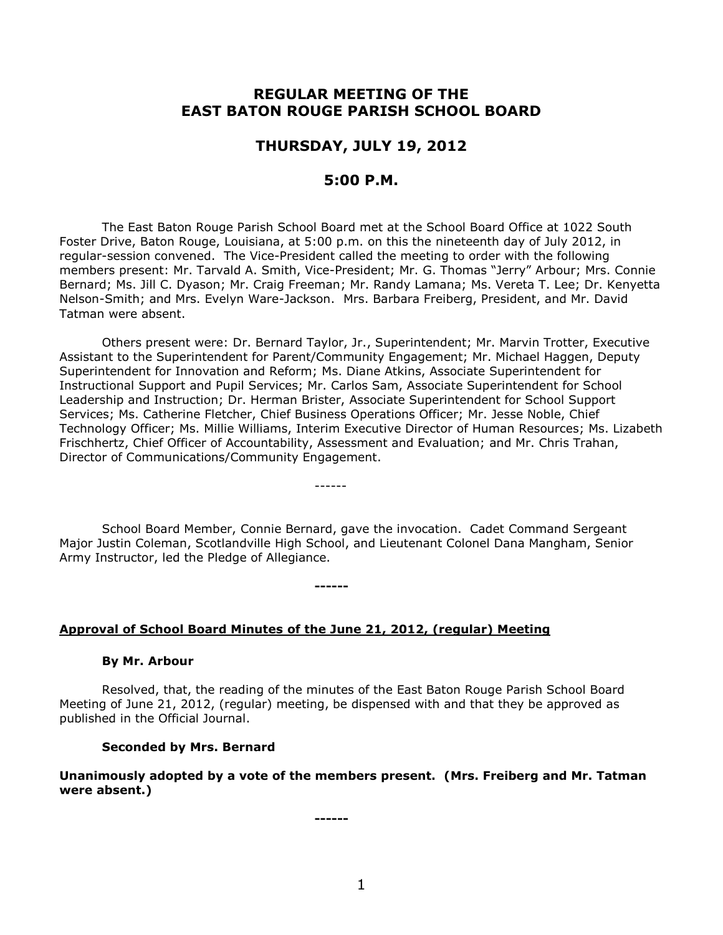# **REGULAR MEETING OF THE EAST BATON ROUGE PARISH SCHOOL BOARD**

## **THURSDAY, JULY 19, 2012**

## **5:00 P.M.**

The East Baton Rouge Parish School Board met at the School Board Office at 1022 South Foster Drive, Baton Rouge, Louisiana, at 5:00 p.m. on this the nineteenth day of July 2012, in regular-session convened. The Vice-President called the meeting to order with the following members present: Mr. Tarvald A. Smith, Vice-President; Mr. G. Thomas "Jerry" Arbour; Mrs. Connie Bernard; Ms. Jill C. Dyason; Mr. Craig Freeman; Mr. Randy Lamana; Ms. Vereta T. Lee; Dr. Kenyetta Nelson-Smith; and Mrs. Evelyn Ware-Jackson. Mrs. Barbara Freiberg, President, and Mr. David Tatman were absent.

Others present were: Dr. Bernard Taylor, Jr., Superintendent; Mr. Marvin Trotter, Executive Assistant to the Superintendent for Parent/Community Engagement; Mr. Michael Haggen, Deputy Superintendent for Innovation and Reform; Ms. Diane Atkins, Associate Superintendent for Instructional Support and Pupil Services; Mr. Carlos Sam, Associate Superintendent for School Leadership and Instruction; Dr. Herman Brister, Associate Superintendent for School Support Services; Ms. Catherine Fletcher, Chief Business Operations Officer; Mr. Jesse Noble, Chief Technology Officer; Ms. Millie Williams, Interim Executive Director of Human Resources; Ms. Lizabeth Frischhertz, Chief Officer of Accountability, Assessment and Evaluation; and Mr. Chris Trahan, Director of Communications/Community Engagement.

School Board Member, Connie Bernard, gave the invocation. Cadet Command Sergeant Major Justin Coleman, Scotlandville High School, and Lieutenant Colonel Dana Mangham, Senior Army Instructor, led the Pledge of Allegiance.

------

**------**

#### **Approval of School Board Minutes of the June 21, 2012, (regular) Meeting**

#### **By Mr. Arbour**

Resolved, that, the reading of the minutes of the East Baton Rouge Parish School Board Meeting of June 21, 2012, (regular) meeting, be dispensed with and that they be approved as published in the Official Journal.

### **Seconded by Mrs. Bernard**

**Unanimously adopted by a vote of the members present. (Mrs. Freiberg and Mr. Tatman were absent.)**

**------**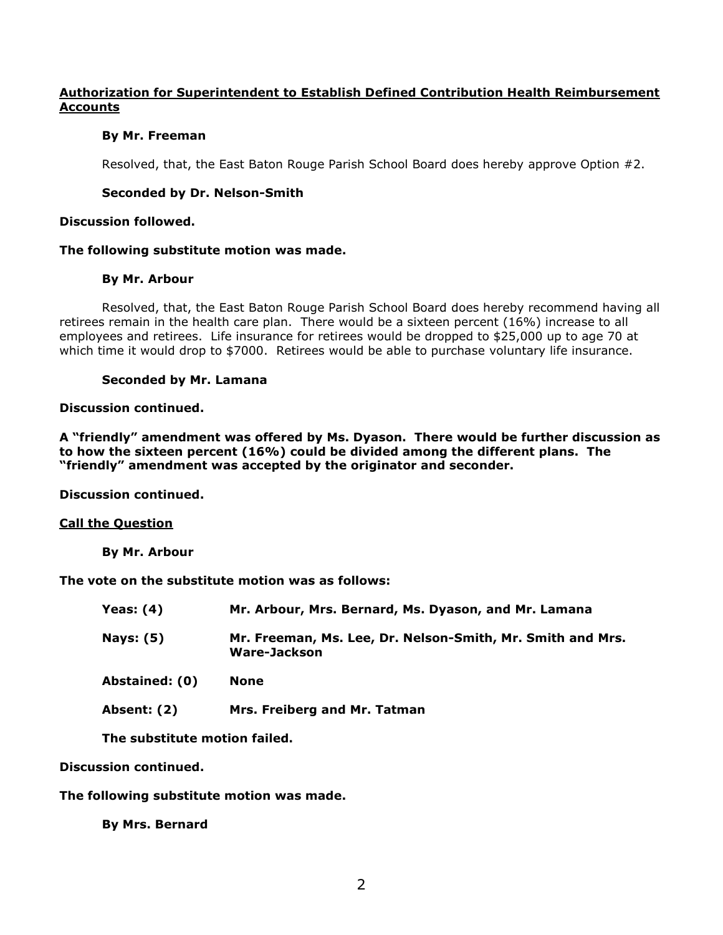## **Authorization for Superintendent to Establish Defined Contribution Health Reimbursement Accounts**

## **By Mr. Freeman**

Resolved, that, the East Baton Rouge Parish School Board does hereby approve Option #2.

## **Seconded by Dr. Nelson-Smith**

## **Discussion followed.**

## **The following substitute motion was made.**

## **By Mr. Arbour**

Resolved, that, the East Baton Rouge Parish School Board does hereby recommend having all retirees remain in the health care plan. There would be a sixteen percent (16%) increase to all employees and retirees. Life insurance for retirees would be dropped to \$25,000 up to age 70 at which time it would drop to \$7000. Retirees would be able to purchase voluntary life insurance.

## **Seconded by Mr. Lamana**

## **Discussion continued.**

**A "friendly" amendment was offered by Ms. Dyason. There would be further discussion as to how the sixteen percent (16%) could be divided among the different plans. The "friendly" amendment was accepted by the originator and seconder.**

**Discussion continued.**

## **Call the Question**

**By Mr. Arbour**

**The vote on the substitute motion was as follows:**

| Yeas: $(4)$      | Mr. Arbour, Mrs. Bernard, Ms. Dyason, and Mr. Lamana                       |
|------------------|----------------------------------------------------------------------------|
| <b>Nays: (5)</b> | Mr. Freeman, Ms. Lee, Dr. Nelson-Smith, Mr. Smith and Mrs.<br>Ware-Jackson |
| Abstained: (0)   | None                                                                       |
|                  |                                                                            |

**Absent: (2) Mrs. Freiberg and Mr. Tatman**

**The substitute motion failed.**

**Discussion continued.**

**The following substitute motion was made.**

**By Mrs. Bernard**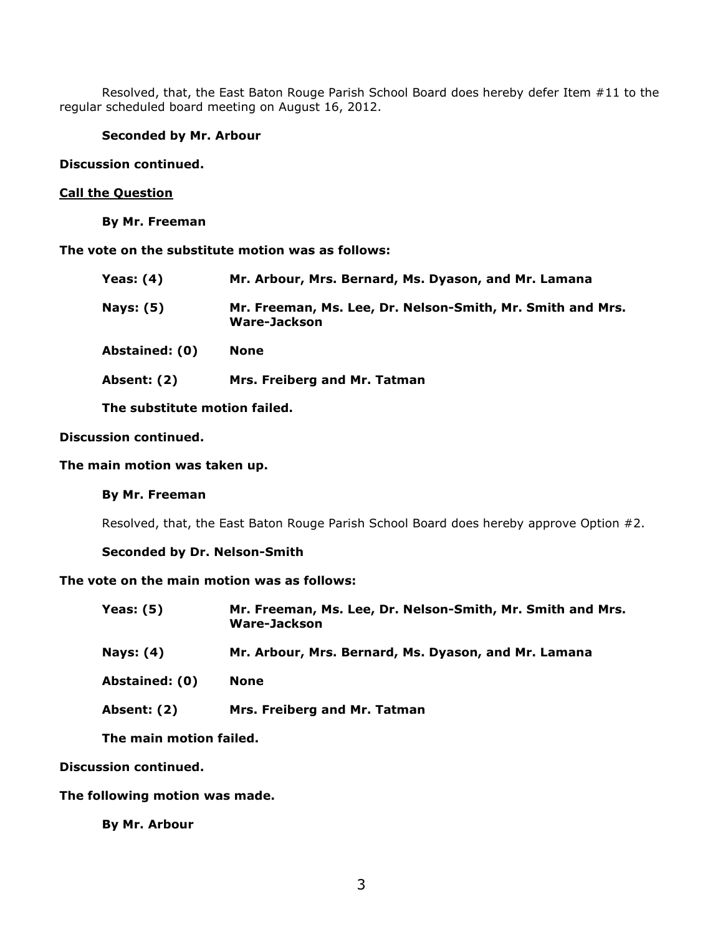Resolved, that, the East Baton Rouge Parish School Board does hereby defer Item #11 to the regular scheduled board meeting on August 16, 2012.

### **Seconded by Mr. Arbour**

### **Discussion continued.**

#### **Call the Question**

**By Mr. Freeman**

**The vote on the substitute motion was as follows:**

| <b>Yeas: (4)</b>   | Mr. Arbour, Mrs. Bernard, Ms. Dyason, and Mr. Lamana                       |
|--------------------|----------------------------------------------------------------------------|
| <b>Nays: (5)</b>   | Mr. Freeman, Ms. Lee, Dr. Nelson-Smith, Mr. Smith and Mrs.<br>Ware-Jackson |
| Abstained: (0)     | <b>None</b>                                                                |
| <b>Absent: (2)</b> | Mrs. Freiberg and Mr. Tatman                                               |
|                    |                                                                            |

**The substitute motion failed.**

## **Discussion continued.**

### **The main motion was taken up.**

### **By Mr. Freeman**

Resolved, that, the East Baton Rouge Parish School Board does hereby approve Option #2.

#### **Seconded by Dr. Nelson-Smith**

## **The vote on the main motion was as follows:**

| Yeas: $(5)$ | Mr. Freeman, Ms. Lee, Dr. Nelson-Smith, Mr. Smith and Mrs. |
|-------------|------------------------------------------------------------|
|             | Ware-Jackson                                               |

**Nays: (4) Mr. Arbour, Mrs. Bernard, Ms. Dyason, and Mr. Lamana**

**Abstained: (0) None**

**Absent: (2) Mrs. Freiberg and Mr. Tatman**

**The main motion failed.**

## **Discussion continued.**

**The following motion was made.**

**By Mr. Arbour**